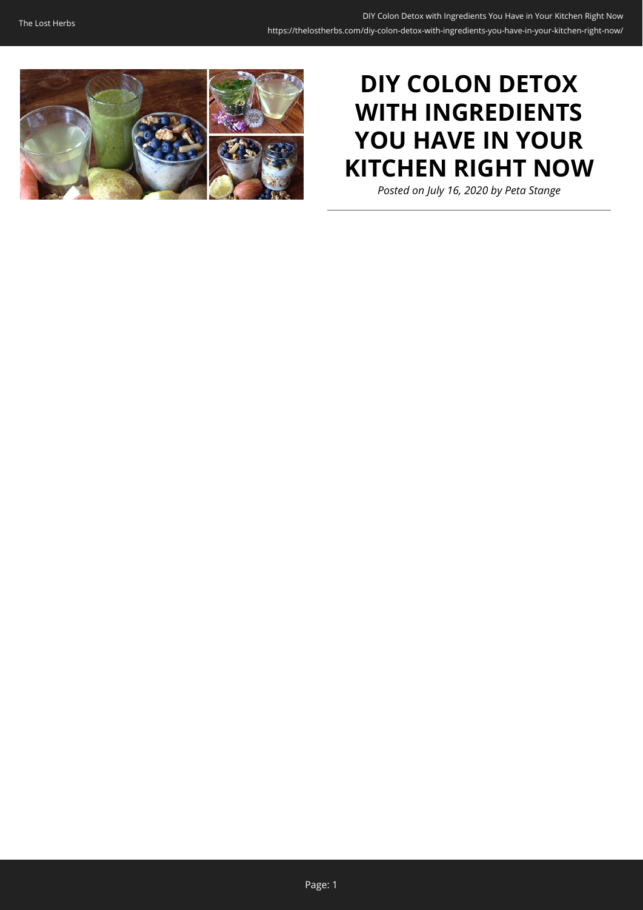

# **DIY COLON DETOX WITH INGREDIENTS YOU HAVE IN YOUR KITCHEN RIGHT NOW**

*Posted on July 16, 2020 by Peta Stange*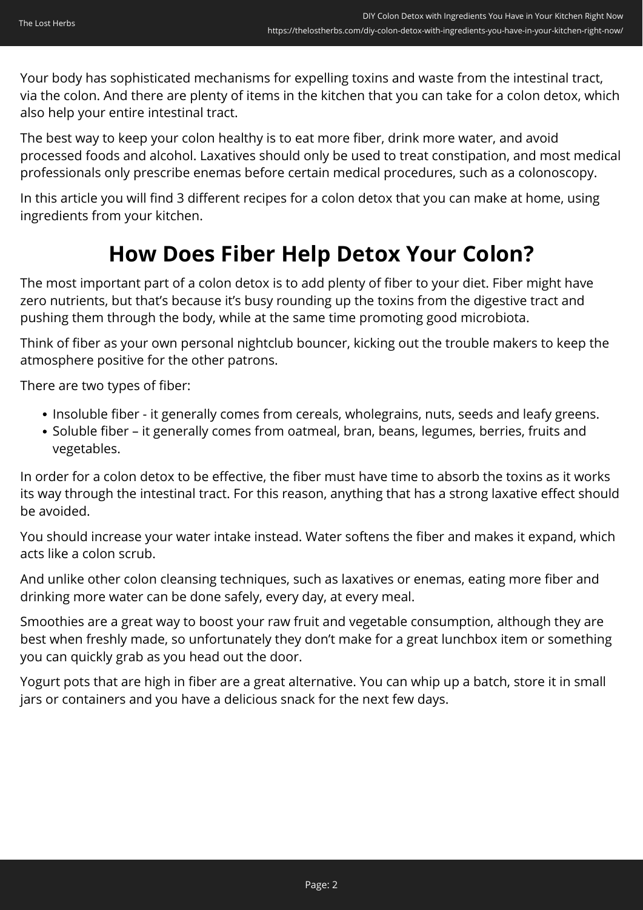Your body has sophisticated mechanisms for expelling toxins and waste from the intestinal tract, via the colon. And there are plenty of items in the kitchen that you can take for a colon detox, which also help your entire intestinal tract.

The best way to keep your colon healthy is to eat more fiber, drink more water, and avoid processed foods and alcohol. Laxatives should only be used to treat constipation, and most medical professionals only prescribe enemas before certain medical procedures, such as a colonoscopy.

In this article you will find 3 different recipes for a colon detox that you can make at home, using ingredients from your kitchen.

## **How Does Fiber Help Detox Your Colon?**

The most important part of a colon detox is to add plenty of fiber to your diet. Fiber might have zero nutrients, but that's because it's busy rounding up the toxins from the digestive tract and pushing them through the body, while at the same time promoting good microbiota.

Think of fiber as your own personal nightclub bouncer, kicking out the trouble makers to keep the atmosphere positive for the other patrons.

There are two types of fiber:

- Insoluble fiber it generally comes from cereals, wholegrains, nuts, seeds and leafy greens.
- Soluble fiber it generally comes from oatmeal, bran, beans, legumes, berries, fruits and vegetables.

In order for a colon detox to be effective, the fiber must have time to absorb the toxins as it works its way through the intestinal tract. For this reason, anything that has a strong laxative effect should be avoided.

You should increase your water intake instead. Water softens the fiber and makes it expand, which acts like a colon scrub.

And unlike other colon cleansing techniques, such as laxatives or enemas, eating more fiber and drinking more water can be done safely, every day, at every meal.

Smoothies are a great way to boost your raw fruit and vegetable consumption, although they are best when freshly made, so unfortunately they don't make for a great lunchbox item or something you can quickly grab as you head out the door.

Yogurt pots that are high in fiber are a great alternative. You can whip up a batch, store it in small jars or containers and you have a delicious snack for the next few days.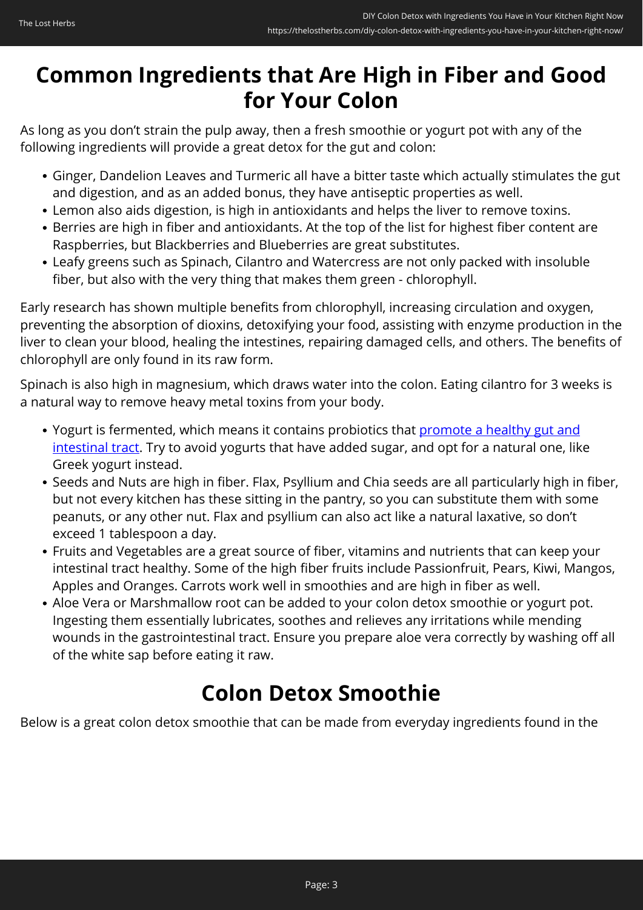## **Common Ingredients that Are High in Fiber and Good for Your Colon**

As long as you don't strain the pulp away, then a fresh smoothie or yogurt pot with any of the following ingredients will provide a great detox for the gut and colon:

- Ginger, Dandelion Leaves and Turmeric all have a bitter taste which actually stimulates the gut and digestion, and as an added bonus, they have antiseptic properties as well.
- Lemon also aids digestion, is high in antioxidants and helps the liver to remove toxins.
- Berries are high in fiber and antioxidants. At the top of the list for highest fiber content are Raspberries, but Blackberries and Blueberries are great substitutes.
- Leafy greens such as Spinach, Cilantro and Watercress are not only packed with insoluble fiber, but also with the very thing that makes them green - chlorophyll.

Early research has shown multiple benefits from chlorophyll, increasing circulation and oxygen, preventing the absorption of dioxins, detoxifying your food, assisting with enzyme production in the liver to clean your blood, healing the intestines, repairing damaged cells, and others. The benefits of chlorophyll are only found in its raw form.

Spinach is also high in magnesium, which draws water into the colon. Eating cilantro for 3 weeks is a natural way to remove heavy metal toxins from your body.

- Yogurt is fermented, which means it contains probiotics that [promote a healthy gut and](https://thelostherbs.com/10-easy-ways-to-improve-your-gut-health/) [intestinal tract](https://thelostherbs.com/10-easy-ways-to-improve-your-gut-health/). Try to avoid yogurts that have added sugar, and opt for a natural one, like Greek yogurt instead.
- Seeds and Nuts are high in fiber. Flax, Psyllium and Chia seeds are all particularly high in fiber, but not every kitchen has these sitting in the pantry, so you can substitute them with some peanuts, or any other nut. Flax and psyllium can also act like a natural laxative, so don't exceed 1 tablespoon a day.
- Fruits and Vegetables are a great source of fiber, vitamins and nutrients that can keep your intestinal tract healthy. Some of the high fiber fruits include Passionfruit, Pears, Kiwi, Mangos, Apples and Oranges. Carrots work well in smoothies and are high in fiber as well.
- Aloe Vera or Marshmallow root can be added to your colon detox smoothie or yogurt pot. Ingesting them essentially lubricates, soothes and relieves any irritations while mending wounds in the gastrointestinal tract. Ensure you prepare aloe vera correctly by washing off all of the white sap before eating it raw.

### **Colon Detox Smoothie**

Below is a great colon detox smoothie that can be made from everyday ingredients found in the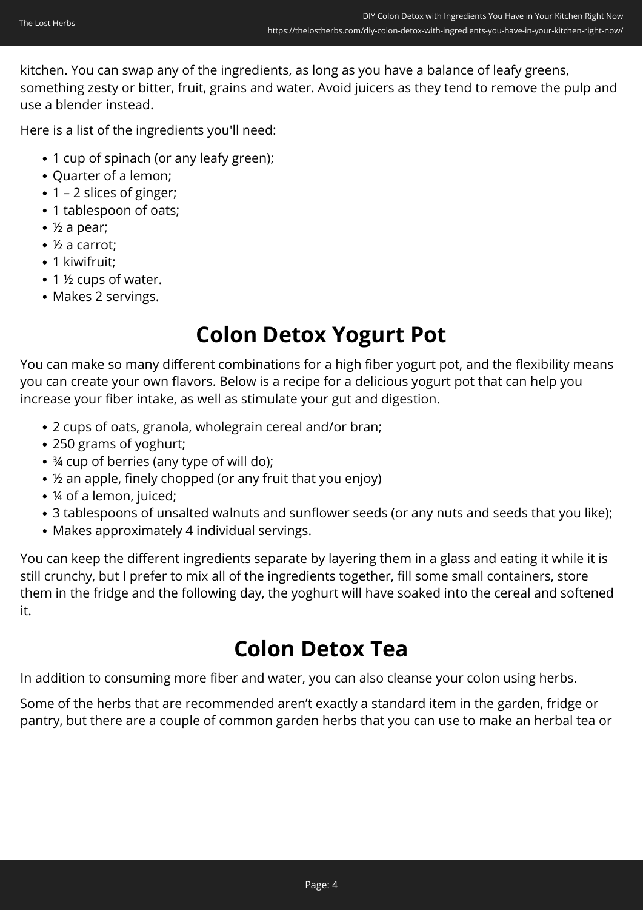kitchen. You can swap any of the ingredients, as long as you have a balance of leafy greens, something zesty or bitter, fruit, grains and water. Avoid juicers as they tend to remove the pulp and use a blender instead.

Here is a list of the ingredients you'll need:

- 1 cup of spinach (or any leafy green);
- Quarter of a lemon;
- 1 2 slices of ginger;
- 1 tablespoon of oats;
- ½ a pear;
- ½ a carrot;
- 1 kiwifruit;
- 1 ½ cups of water.
- Makes 2 servings.

### **Colon Detox Yogurt Pot**

You can make so many different combinations for a high fiber yogurt pot, and the flexibility means you can create your own flavors. Below is a recipe for a delicious yogurt pot that can help you increase your fiber intake, as well as stimulate your gut and digestion.

- 2 cups of oats, granola, wholegrain cereal and/or bran;
- 250 grams of yoghurt;
- ¾ cup of berries (any type of will do);
- ½ an apple, finely chopped (or any fruit that you enjoy)
- ¼ of a lemon, juiced;
- 3 tablespoons of unsalted walnuts and sunflower seeds (or any nuts and seeds that you like);
- Makes approximately 4 individual servings.

You can keep the different ingredients separate by layering them in a glass and eating it while it is still crunchy, but I prefer to mix all of the ingredients together, fill some small containers, store them in the fridge and the following day, the yoghurt will have soaked into the cereal and softened it.

### **Colon Detox Tea**

In addition to consuming more fiber and water, you can also cleanse your colon using herbs.

Some of the herbs that are recommended aren't exactly a standard item in the garden, fridge or pantry, but there are a couple of common garden herbs that you can use to make an herbal tea or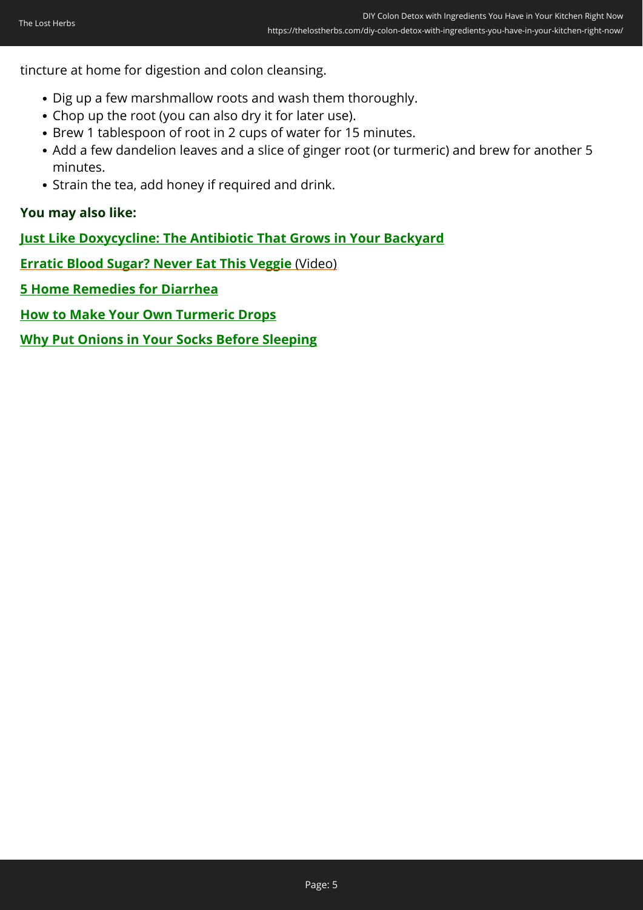tincture at home for digestion and colon cleansing.

- Dig up a few marshmallow roots and wash them thoroughly.
- Chop up the root (you can also dry it for later use).
- Brew 1 tablespoon of root in 2 cups of water for 15 minutes.
- Add a few dandelion leaves and a slice of ginger root (or turmeric) and brew for another 5 minutes.
- Strain the tea, add honey if required and drink.

#### **You may also like:**

**[Just Like Doxycycline: The Antibiotic That Grows in Your Backyard](https://thelostherbs.com/just-like-doxycycline-the-antibiotic-that-grows-in-your-backyard/)**

**[Erratic Blood Sugar? Never Eat This Veggie](https://hop.clickbank.net/?affiliate=lostherbs&vendor=d2free&tid=C02ColonDetoxDBF)** [\(Video\)](https://hop.clickbank.net/?affiliate=lostherbs&vendor=d2free&tid=C02ColonDetoxDBF)

**[5 Home Remedies for Diarrhea](https://thelostherbs.com/5-home-remedies-for-diarrhea/)**

**[How to Make Your Own Turmeric Drops](https://thelostherbs.com/how-to-make-your-own-turmeric-drops/)**

**[Why Put Onions in Your Socks Before Sleeping](https://thelostherbs.com/why-put-onions-in-your-socks-before-sleeping/)**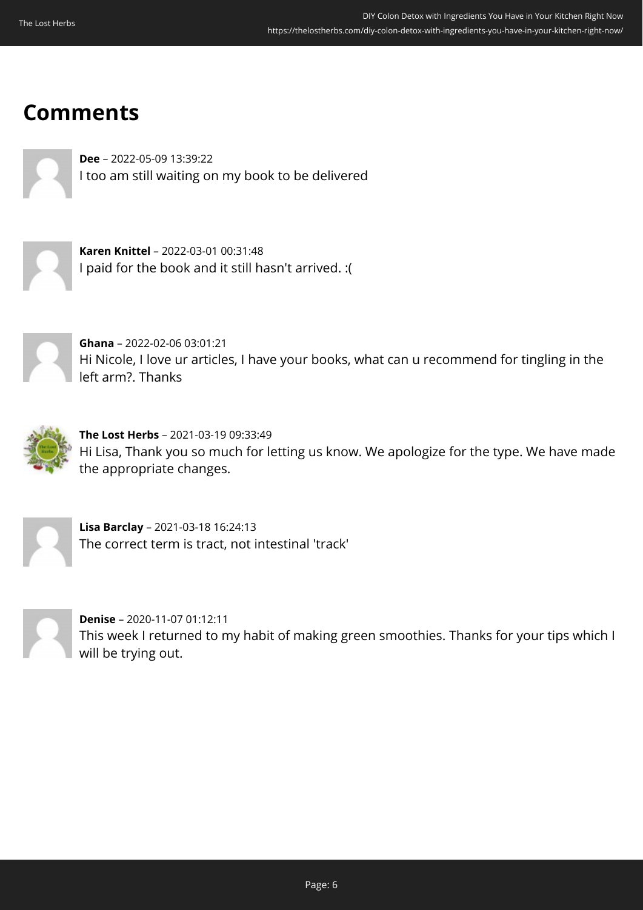### **Comments**

**Dee** – 2022-05-09 13:39:22 I too am still waiting on my book to be delivered



**Karen Knittel** – 2022-03-01 00:31:48 I paid for the book and it still hasn't arrived. :(



**Ghana** – 2022-02-06 03:01:21 Hi Nicole, I love ur articles, I have your books, what can u recommend for tingling in the left arm?. Thanks



**The Lost Herbs** – 2021-03-19 09:33:49 Hi Lisa, Thank you so much for letting us know. We apologize for the type. We have made the appropriate changes.



**Lisa Barclay** – 2021-03-18 16:24:13 The correct term is tract, not intestinal 'track'



**Denise** – 2020-11-07 01:12:11 This week I returned to my habit of making green smoothies. Thanks for your tips which I will be trying out.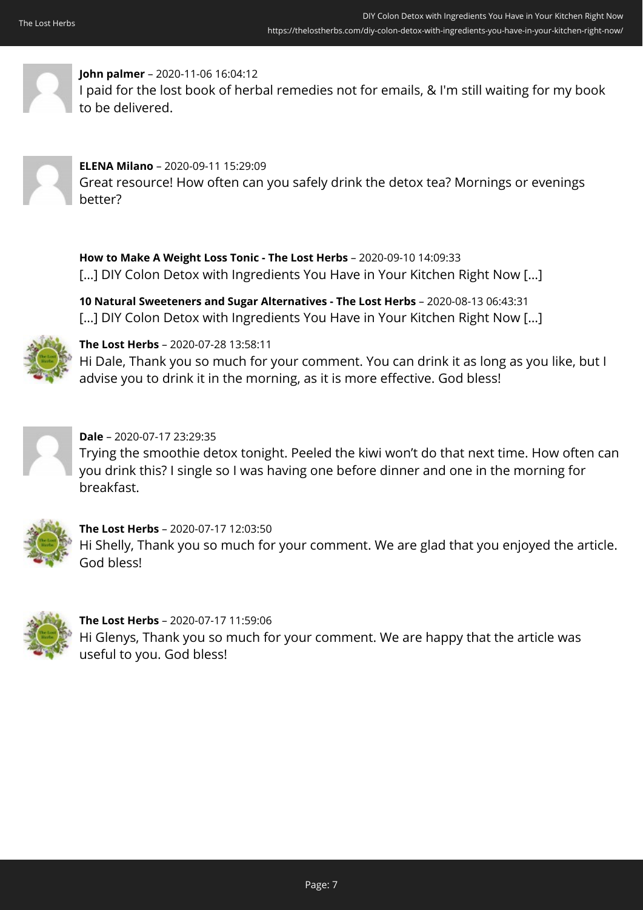

#### **John palmer** – 2020-11-06 16:04:12

I paid for the lost book of herbal remedies not for emails, & I'm still waiting for my book to be delivered.



#### **ELENA Milano** – 2020-09-11 15:29:09 Great resource! How often can you safely drink the detox tea? Mornings or evenings better?

**How to Make A Weight Loss Tonic - The Lost Herbs** – 2020-09-10 14:09:33 [...] DIY Colon Detox with Ingredients You Have in Your Kitchen Right Now [...]

**10 Natural Sweeteners and Sugar Alternatives - The Lost Herbs** – 2020-08-13 06:43:31 […] DIY Colon Detox with Ingredients You Have in Your Kitchen Right Now […]



**The Lost Herbs** – 2020-07-28 13:58:11

Hi Dale, Thank you so much for your comment. You can drink it as long as you like, but I advise you to drink it in the morning, as it is more effective. God bless!



#### **Dale** – 2020-07-17 23:29:35

Trying the smoothie detox tonight. Peeled the kiwi won't do that next time. How often can you drink this? I single so I was having one before dinner and one in the morning for breakfast.



### **The Lost Herbs** – 2020-07-17 12:03:50

Hi Shelly, Thank you so much for your comment. We are glad that you enjoyed the article. God bless!



**The Lost Herbs** – 2020-07-17 11:59:06 Hi Glenys, Thank you so much for your comment. We are happy that the article was useful to you. God bless!